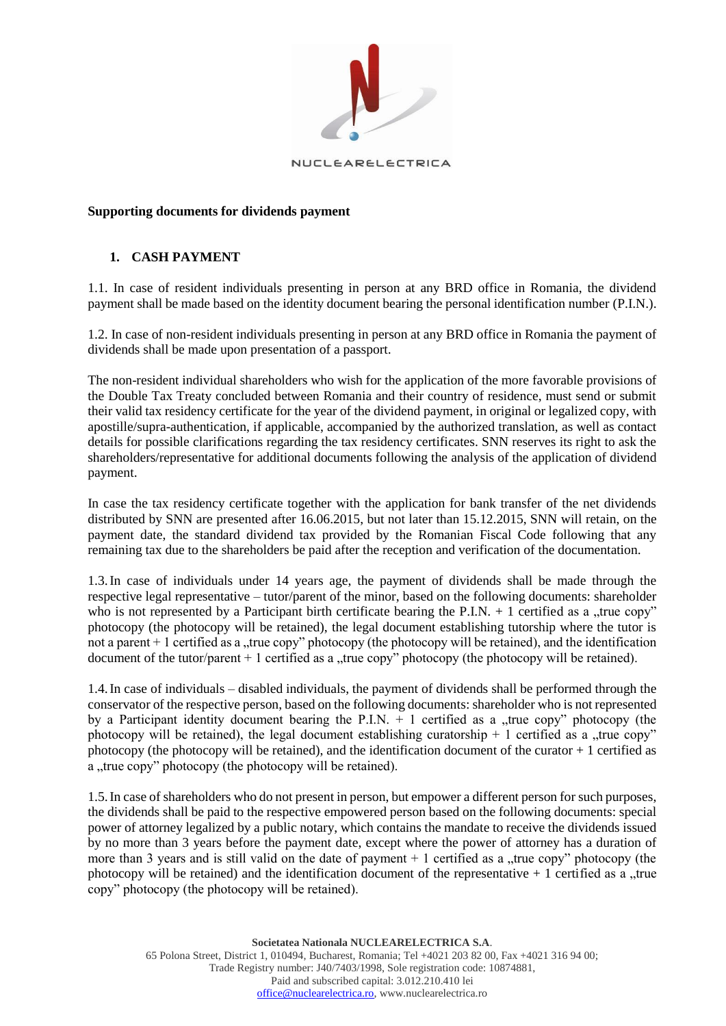

## **Supporting documents for dividends payment**

## **1. CASH PAYMENT**

1.1. In case of resident individuals presenting in person at any BRD office in Romania, the dividend payment shall be made based on the identity document bearing the personal identification number (P.I.N.).

1.2. In case of non-resident individuals presenting in person at any BRD office in Romania the payment of dividends shall be made upon presentation of a passport.

The non-resident individual shareholders who wish for the application of the more favorable provisions of the Double Tax Treaty concluded between Romania and their country of residence, must send or submit their valid tax residency certificate for the year of the dividend payment, in original or legalized copy, with apostille/supra-authentication, if applicable, accompanied by the authorized translation, as well as contact details for possible clarifications regarding the tax residency certificates. SNN reserves its right to ask the shareholders/representative for additional documents following the analysis of the application of dividend payment.

In case the tax residency certificate together with the application for bank transfer of the net dividends distributed by SNN are presented after 16.06.2015, but not later than 15.12.2015, SNN will retain, on the payment date, the standard dividend tax provided by the Romanian Fiscal Code following that any remaining tax due to the shareholders be paid after the reception and verification of the documentation.

1.3.In case of individuals under 14 years age, the payment of dividends shall be made through the respective legal representative – tutor/parent of the minor, based on the following documents: shareholder who is not represented by a Participant birth certificate bearing the P.I.N.  $+$  1 certified as a "true copy" photocopy (the photocopy will be retained), the legal document establishing tutorship where the tutor is not a parent + 1 certified as a "true copy" photocopy (the photocopy will be retained), and the identification document of the tutor/parent  $+1$  certified as a "true copy" photocopy (the photocopy will be retained).

1.4.In case of individuals – disabled individuals, the payment of dividends shall be performed through the conservator of the respective person, based on the following documents: shareholder who is not represented by a Participant identity document bearing the P.I.N.  $+$  1 certified as a "true copy" photocopy (the photocopy will be retained), the legal document establishing curatorship  $+1$  certified as a "true copy" photocopy (the photocopy will be retained), and the identification document of the curator  $+1$  certified as a "true copy" photocopy (the photocopy will be retained).

1.5.In case of shareholders who do not present in person, but empower a different person for such purposes, the dividends shall be paid to the respective empowered person based on the following documents: special power of attorney legalized by a public notary, which contains the mandate to receive the dividends issued by no more than 3 years before the payment date, except where the power of attorney has a duration of more than 3 years and is still valid on the date of payment  $+1$  certified as a "true copy" photocopy (the photocopy will be retained) and the identification document of the representative  $+1$  certified as a  $\mu$ true copy" photocopy (the photocopy will be retained).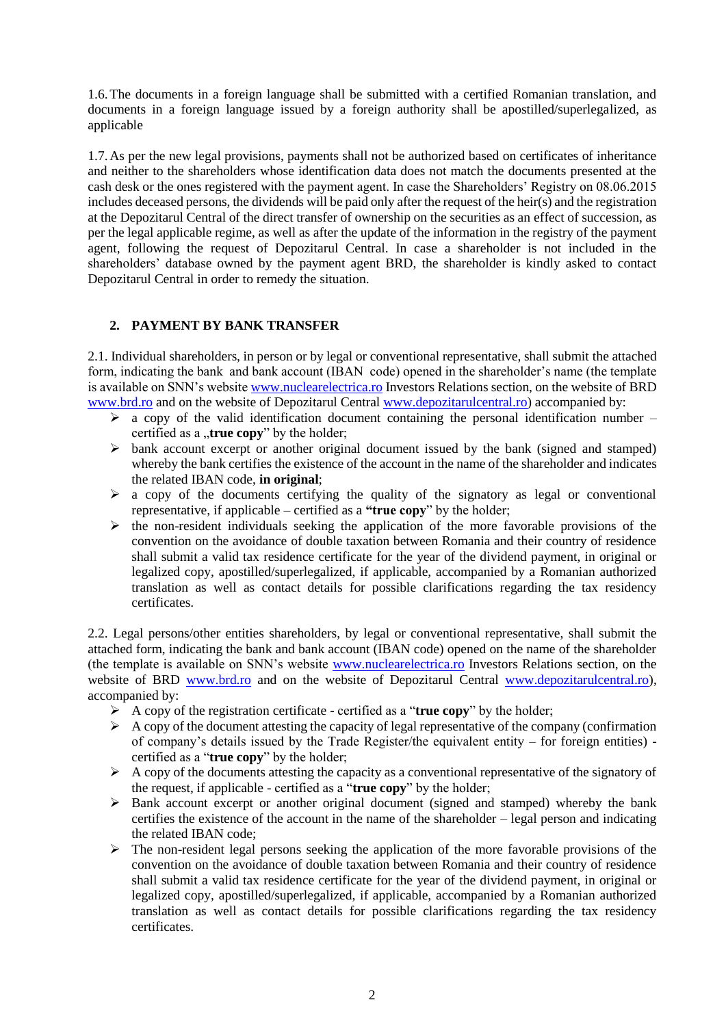1.6.The documents in a foreign language shall be submitted with a certified Romanian translation, and documents in a foreign language issued by a foreign authority shall be apostilled/superlegalized, as applicable

1.7.As per the new legal provisions, payments shall not be authorized based on certificates of inheritance and neither to the shareholders whose identification data does not match the documents presented at the cash desk or the ones registered with the payment agent. In case the Shareholders' Registry on 08.06.2015 includes deceased persons, the dividends will be paid only after the request of the heir(s) and the registration at the Depozitarul Central of the direct transfer of ownership on the securities as an effect of succession, as per the legal applicable regime, as well as after the update of the information in the registry of the payment agent, following the request of Depozitarul Central. In case a shareholder is not included in the shareholders' database owned by the payment agent BRD, the shareholder is kindly asked to contact Depozitarul Central in order to remedy the situation.

## **2. PAYMENT BY BANK TRANSFER**

2.1. Individual shareholders, in person or by legal or conventional representative, shall submit the attached form, indicating the bank and bank account (IBAN code) opened in the shareholder's name (the template is available on SNN's websit[e www.nuclearelectrica.ro](http://www.nuclearelectrica.ro/) Investors Relations section, on the website of BRD [www.brd.ro](http://www.brd.ro/) and on the website of Depozitarul Central [www.depozitarulcentral.ro\)](http://www.depozitarulcentral.ro/) accompanied by:

- $\triangleright$  a copy of the valid identification document containing the personal identification number certified as a "true copy" by the holder;
- $\triangleright$  bank account excerpt or another original document issued by the bank (signed and stamped) whereby the bank certifies the existence of the account in the name of the shareholder and indicates the related IBAN code, **in original**;
- $\triangleright$  a copy of the documents certifying the quality of the signatory as legal or conventional representative, if applicable – certified as a **"true copy**" by the holder;
- $\triangleright$  the non-resident individuals seeking the application of the more favorable provisions of the convention on the avoidance of double taxation between Romania and their country of residence shall submit a valid tax residence certificate for the year of the dividend payment, in original or legalized copy, apostilled/superlegalized, if applicable, accompanied by a Romanian authorized translation as well as contact details for possible clarifications regarding the tax residency certificates.

2.2. Legal persons/other entities shareholders, by legal or conventional representative, shall submit the attached form, indicating the bank and bank account (IBAN code) opened on the name of the shareholder (the template is available on SNN's website [www.nuclearelectrica.ro](http://www.nuclearelectrica.ro/) Investors Relations section, on the website of BRD [www.brd.ro](http://www.brd.ro/) and on the website of Depozitarul Central [www.depozitarulcentral.ro\)](http://www.depozitarulcentral.ro/), accompanied by:

- $\triangleright$  A copy of the registration certificate certified as a "**true copy**" by the holder;
- $\triangleright$  A copy of the document attesting the capacity of legal representative of the company (confirmation of company's details issued by the Trade Register/the equivalent entity – for foreign entities) certified as a "**true copy**" by the holder;
- $\triangleright$  A copy of the documents attesting the capacity as a conventional representative of the signatory of the request, if applicable - certified as a "**true copy**" by the holder;
- $\triangleright$  Bank account excerpt or another original document (signed and stamped) whereby the bank certifies the existence of the account in the name of the shareholder – legal person and indicating the related IBAN code;
- $\triangleright$  The non-resident legal persons seeking the application of the more favorable provisions of the convention on the avoidance of double taxation between Romania and their country of residence shall submit a valid tax residence certificate for the year of the dividend payment, in original or legalized copy, apostilled/superlegalized, if applicable, accompanied by a Romanian authorized translation as well as contact details for possible clarifications regarding the tax residency certificates.